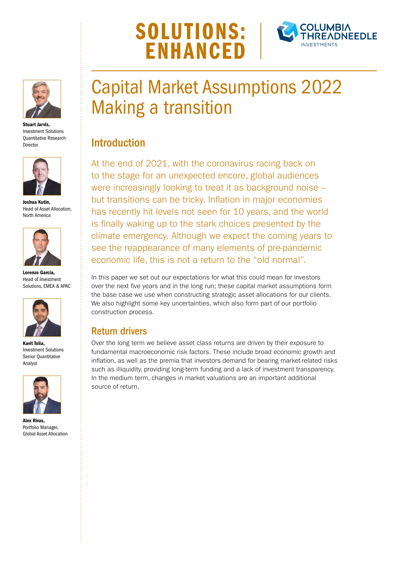# SOLUTIONS: **FNHANCE**





Stuart Jarvis, Investment Solutions Quantitative Research Director



Joshua Kutin, Head of Asset Allocation, North America



Lorenzo Garcia, Head of Investment Solutions, EMEA & APAC



Kavit Tolia, Investment Solutions Senior Quantitative Analyst



Alex Rivas, Portfolio Manager, Global Asset Allocation

# Capital Market Assumptions 2022 Making a transition

## **Introduction**

At the end of 2021, with the coronavirus racing back on to the stage for an unexpected encore, global audiences were increasingly looking to treat it as background noise – but transitions can be tricky. Inflation in major economies has recently hit levels not seen for 10 years, and the world is finally waking up to the stark choices presented by the climate emergency. Although we expect the coming years to see the reappearance of many elements of pre-pandemic economic life, this is not a return to the "old normal".

In this paper we set out our expectations for what this could mean for investors over the next five years and in the long run; these capital market assumptions form the base case we use when constructing strategic asset allocations for our clients. We also highlight some key uncertainties, which also form part of our portfolio construction process.

### Return drivers

Over the long term we believe asset class returns are driven by their exposure to fundamental macroeconomic risk factors. These include broad economic growth and inflation, as well as the premia that investors demand for bearing market-related risks such as illiquidity, providing long-term funding and a lack of investment transparency. In the medium term, changes in market valuations are an important additional source of return.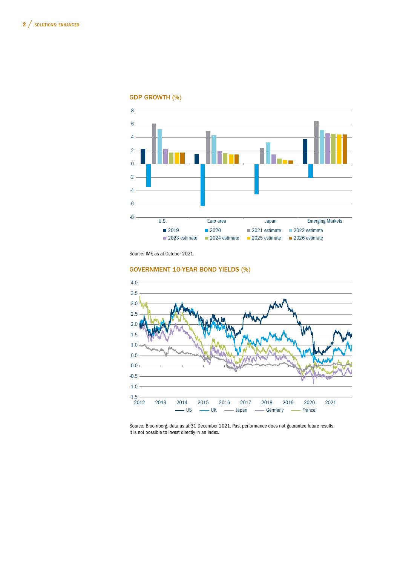

GDP GROWTH (%)

#### GOVERNMENT 10-YEAR BOND YIELDS (%)



5 6 It is not possible to invest directly in an index.Source: Bloomberg, data as at 31 December 2021. Past performance does not guarantee future results.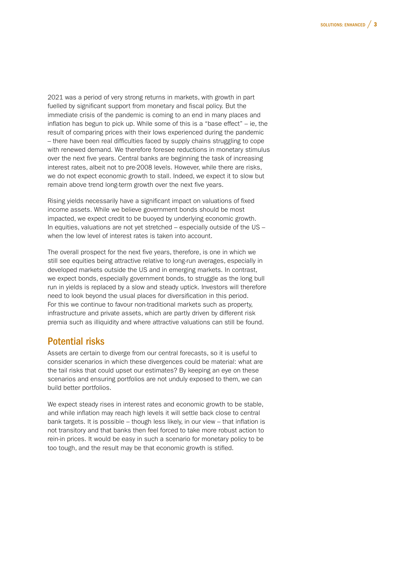2021 was a period of very strong returns in markets, with growth in part fuelled by significant support from monetary and fiscal policy. But the immediate crisis of the pandemic is coming to an end in many places and inflation has begun to pick up. While some of this is a "base effect" – ie, the result of comparing prices with their lows experienced during the pandemic – there have been real difficulties faced by supply chains struggling to cope with renewed demand. We therefore foresee reductions in monetary stimulus over the next five years. Central banks are beginning the task of increasing interest rates, albeit not to pre-2008 levels. However, while there are risks, we do not expect economic growth to stall. Indeed, we expect it to slow but remain above trend long-term growth over the next five years.

Rising yields necessarily have a significant impact on valuations of fixed income assets. While we believe government bonds should be most impacted, we expect credit to be buoyed by underlying economic growth. In equities, valuations are not yet stretched – especially outside of the US – when the low level of interest rates is taken into account.

The overall prospect for the next five years, therefore, is one in which we still see equities being attractive relative to long-run averages, especially in developed markets outside the US and in emerging markets. In contrast, we expect bonds, especially government bonds, to struggle as the long bull run in yields is replaced by a slow and steady uptick. Investors will therefore need to look beyond the usual places for diversification in this period. For this we continue to favour non-traditional markets such as property, infrastructure and private assets, which are partly driven by different risk premia such as illiquidity and where attractive valuations can still be found.

#### Potential risks

Assets are certain to diverge from our central forecasts, so it is useful to consider scenarios in which these divergences could be material: what are the tail risks that could upset our estimates? By keeping an eye on these scenarios and ensuring portfolios are not unduly exposed to them, we can build better portfolios.

We expect steady rises in interest rates and economic growth to be stable, and while inflation may reach high levels it will settle back close to central bank targets. It is possible – though less likely, in our view – that inflation is not transitory and that banks then feel forced to take more robust action to rein-in prices. It would be easy in such a scenario for monetary policy to be too tough, and the result may be that economic growth is stifled.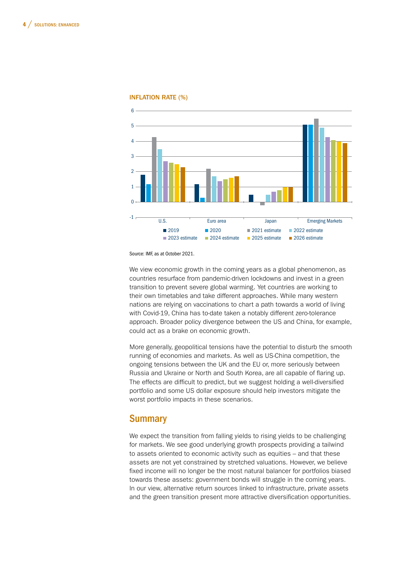

#### INFLATION RATE (%)

Source: IMF, as at October 2021.

We view economic growth in the coming years as a global phenomenon, as countries resurface from pandemic-driven lockdowns and invest in a green transition to prevent severe global warming. Yet countries are working to their own timetables and take different approaches. While many western nations are relying on vaccinations to chart a path towards a world of living with Covid-19, China has to-date taken a notably different zero-tolerance approach. Broader policy divergence between the US and China, for example, could act as a brake on economic growth.

More generally, geopolitical tensions have the potential to disturb the smooth running of economies and markets. As well as US-China competition, the ongoing tensions between the UK and the EU or, more seriously between Russia and Ukraine or North and South Korea, are all capable of flaring up. The effects are difficult to predict, but we suggest holding a well-diversified portfolio and some US dollar exposure should help investors mitigate the worst portfolio impacts in these scenarios.

#### **Summary**

We expect the transition from falling yields to rising yields to be challenging for markets. We see good underlying growth prospects providing a tailwind to assets oriented to economic activity such as equities – and that these assets are not yet constrained by stretched valuations. However, we believe fixed income will no longer be the most natural balancer for portfolios biased towards these assets: government bonds will struggle in the coming years. In our view, alternative return sources linked to infrastructure, private assets and the green transition present more attractive diversification opportunities.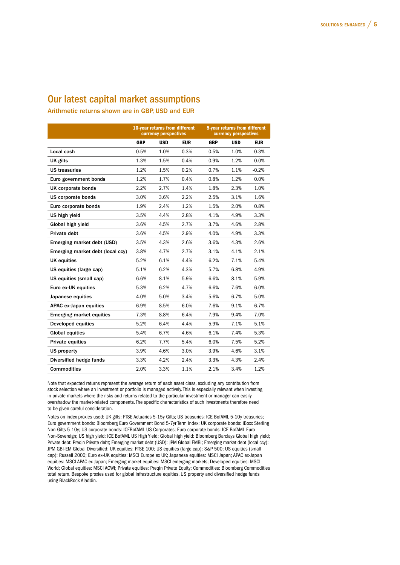### Our latest capital market assumptions

Arithmetic returns shown are in GBP, USD and EUR

|                                  | 10-year returns from different<br><b>currency perspectives</b> |            |            | 5-year returns from different<br><b>Currency perspectives</b> |            |            |
|----------------------------------|----------------------------------------------------------------|------------|------------|---------------------------------------------------------------|------------|------------|
|                                  | <b>GBP</b>                                                     | <b>USD</b> | <b>EUR</b> | <b>GBP</b>                                                    | <b>USD</b> | <b>EUR</b> |
| Local cash                       | 0.5%                                                           | 1.0%       | $-0.3%$    | 0.5%                                                          | 1.0%       | $-0.3%$    |
| UK gilts                         | 1.3%                                                           | 1.5%       | 0.4%       | 0.9%                                                          | 1.2%       | 0.0%       |
| <b>US treasuries</b>             | 1.2%                                                           | 1.5%       | 0.2%       | 0.7%                                                          | 1.1%       | $-0.2%$    |
| Euro government bonds            | 1.2%                                                           | 1.7%       | 0.4%       | 0.8%                                                          | 1.2%       | 0.0%       |
| UK corporate bonds               | 2.2%                                                           | 2.7%       | 1.4%       | 1.8%                                                          | 2.3%       | 1.0%       |
| US corporate bonds               | 3.0%                                                           | 3.6%       | 2.2%       | 2.5%                                                          | 3.1%       | 1.6%       |
| Euro corporate bonds             | 1.9%                                                           | 2.4%       | 1.2%       | 1.5%                                                          | 2.0%       | 0.8%       |
| US high yield                    | 3.5%                                                           | 4.4%       | 2.8%       | 4.1%                                                          | 4.9%       | 3.3%       |
| Global high yield                | 3.6%                                                           | 4.5%       | 2.7%       | 3.7%                                                          | 4.6%       | 2.8%       |
| Private debt                     | 3.6%                                                           | 4.5%       | 2.9%       | 4.0%                                                          | 4.9%       | 3.3%       |
| Emerging market debt (USD)       | 3.5%                                                           | 4.3%       | 2.6%       | 3.6%                                                          | 4.3%       | 2.6%       |
| Emerging market debt (local ccy) | 3.8%                                                           | 4.7%       | 2.7%       | 3.1%                                                          | 4.1%       | 2.1%       |
| <b>UK equities</b>               | 5.2%                                                           | 6.1%       | 4.4%       | 6.2%                                                          | 7.1%       | 5.4%       |
| US equities (large cap)          | 5.1%                                                           | 6.2%       | 4.3%       | 5.7%                                                          | 6.8%       | 4.9%       |
| US equities (small cap)          | 6.6%                                                           | 8.1%       | 5.9%       | 6.6%                                                          | 8.1%       | 5.9%       |
| Euro ex-UK equities              | 5.3%                                                           | 6.2%       | 4.7%       | 6.6%                                                          | 7.6%       | 6.0%       |
| Japanese equities                | 4.0%                                                           | 5.0%       | 3.4%       | 5.6%                                                          | 6.7%       | 5.0%       |
| APAC ex-Japan equities           | 6.9%                                                           | 8.5%       | 6.0%       | 7.6%                                                          | 9.1%       | 6.7%       |
| <b>Emerging market equities</b>  | 7.3%                                                           | 8.8%       | 6.4%       | 7.9%                                                          | 9.4%       | 7.0%       |
| Developed equities               | 5.2%                                                           | 6.4%       | 4.4%       | 5.9%                                                          | 7.1%       | 5.1%       |
| <b>Global equities</b>           | 5.4%                                                           | 6.7%       | 4.6%       | 6.1%                                                          | 7.4%       | 5.3%       |
| <b>Private equities</b>          | 6.2%                                                           | 7.7%       | 5.4%       | 6.0%                                                          | 7.5%       | 5.2%       |
| US property                      | 3.9%                                                           | 4.6%       | 3.0%       | 3.9%                                                          | 4.6%       | 3.1%       |
| Diversified hedge funds          | 3.3%                                                           | 4.2%       | 2.4%       | 3.3%                                                          | 4.3%       | 2.4%       |
| <b>Commodities</b>               | 2.0%                                                           | 3.3%       | 1.1%       | 2.1%                                                          | 3.4%       | 1.2%       |

Note that expected returns represent the average return of each asset class, excluding any contribution from stock selection where an investment or portfolio is managed actively. This is especially relevant when investing in private markets where the risks and returns related to the particular investment or manager can easily overshadow the market-related components. The specific characteristics of such investments therefore need to be given careful consideration.

Notes on index proxies used: UK gilts: FTSE Actuaries 5-15y Gilts; US treasuries: ICE BofAML 5-10y treasuries; Euro government bonds: Bloomberg Euro Government Bond 5-7yr Term Index; UK corporate bonds: iBoxx Sterling Non-Gilts 5-10y; US corporate bonds: ICEBofAML US Corporates; Euro corporate bonds: ICE BofAML Euro Non-Sovereign; US high yield: ICE BofAML US High Yield; Global high yield: Bloomberg Barclays Global high yield; Private debt: Preqin Private debt; Emerging market debt (USD): JPM Global EMBI; Emerging market debt (local ccy): JPM GBI-EM Global Diversified; UK equities: FTSE 100; US equities (large cap): S&P 500; US equities (small cap): Russell 2000; Euro ex-UK equities: MSCI Europe ex UK; Japanese equities: MSCI Japan; APAC ex-Japan equities: MSCI APAC ex Japan; Emerging market equities: MSCI emerging markets; Developed equities: MSCI World; Global equities: MSCI ACWI; Private equities: Preqin Private Equity; Commodities: Bloomberg Commodities total return. Bespoke proxies used for global infrastructure equities, US property and diversified hedge funds using BlackRock Aladdin.